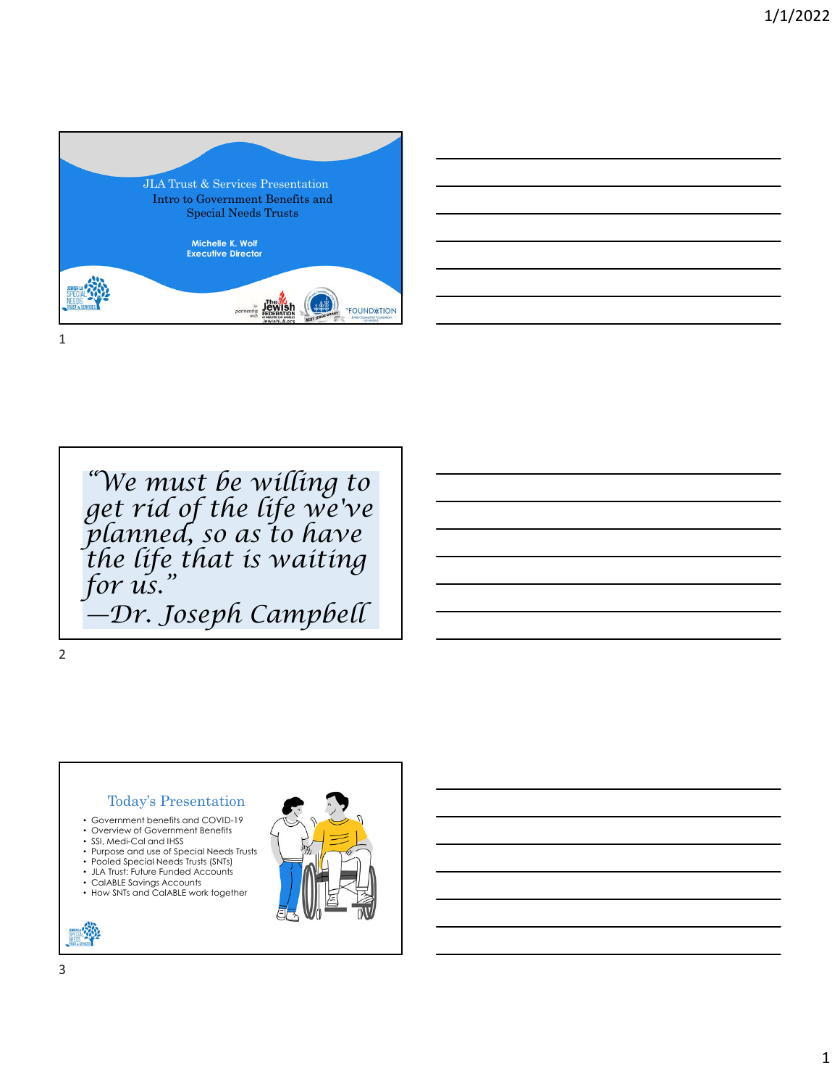



*"We must be willing to get rid of the life we've planned, so as to have the life that is waiting for us." —Dr. Joseph Campbell*

#### 2

## Today's Presentation

- Government benefits and COVID-19
- Overview of Government Benefits
- SSI, Medi-Cal and IHSS
- Purpose and use of Special Needs Trusts • Pooled Special Needs Trusts (SNTs)
- JLA Trust: Future Funded Accounts
- CalABLE Savings Accounts
- How SNTs and CalABLE work together

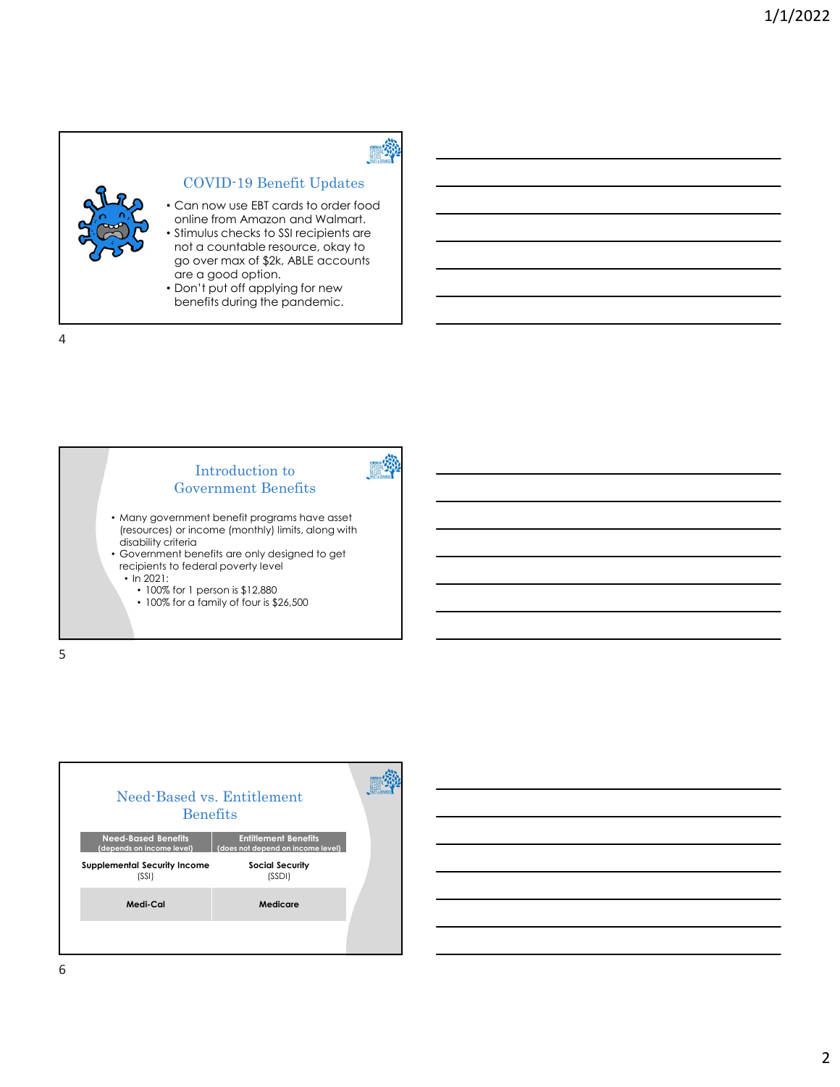

## COVID-19 Benefit Updates

**DESCRIPTION** 

- Can now use EBT cards to order food online from Amazon and Walmart. • Stimulus checks to SSI recipients are
- not a countable resource, okay to go over max of \$2k, ABLE accounts are a good option.
- Don't put off applying for new benefits during the pandemic.





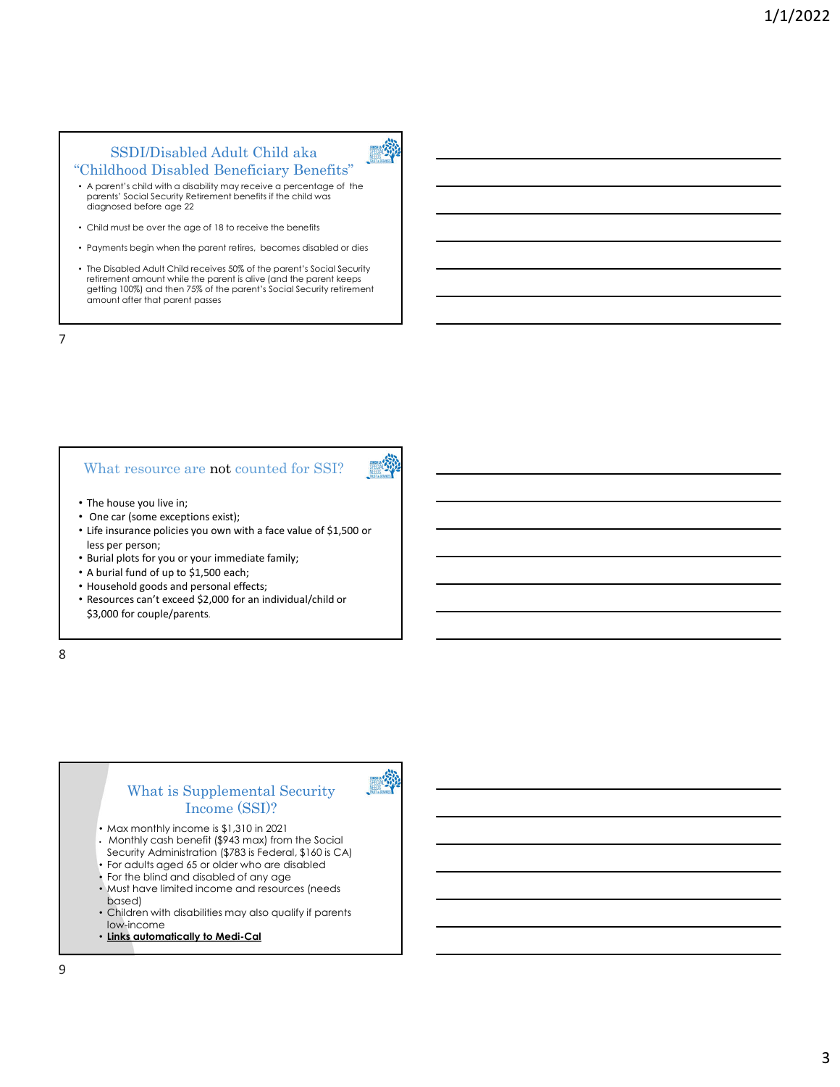### SSDI/Disabled Adult Child aka "Childhood Disabled Beneficiary Benefits"



- A parent's child with a disability may receive a percentage of the parents' Social Security Retirement benefits if the child was diagnosed before age 22
- Child must be over the age of 18 to receive the benefits
- Payments begin when the parent retires, becomes disabled or dies
- The Disabled Adult Child receives 50% of the parent's Social Security retirement amount while the parent is alive (and the parent keeps getting 100%) and then 75% of the parent's Social Security retirement amount after that parent passes

7

### What resource are not counted for SSI?



- The house you live in;
- One car (some exceptions exist);
- Life insurance policies you own with a face value of \$1,500 or less per person;
- Burial plots for you or your immediate family;
- A burial fund of up to \$1,500 each;
- Household goods and personal effects;
- Resources can't exceed \$2,000 for an individual/child or \$3,000 for couple/parents.

8

### What is Supplemental Security Income (SSI)?

- Max monthly income is \$1,310 in 2021
- Monthly cash benefit (\$943 max) from the Social Security Administration (\$783 is Federal, \$160 is CA)
- For adults aged 65 or older who are disabled
- For the blind and disabled of any age
- Must have limited income and resources (needs based)
- Children with disabilities may also qualify if parents low-income
- **Links automatically to Medi-Cal**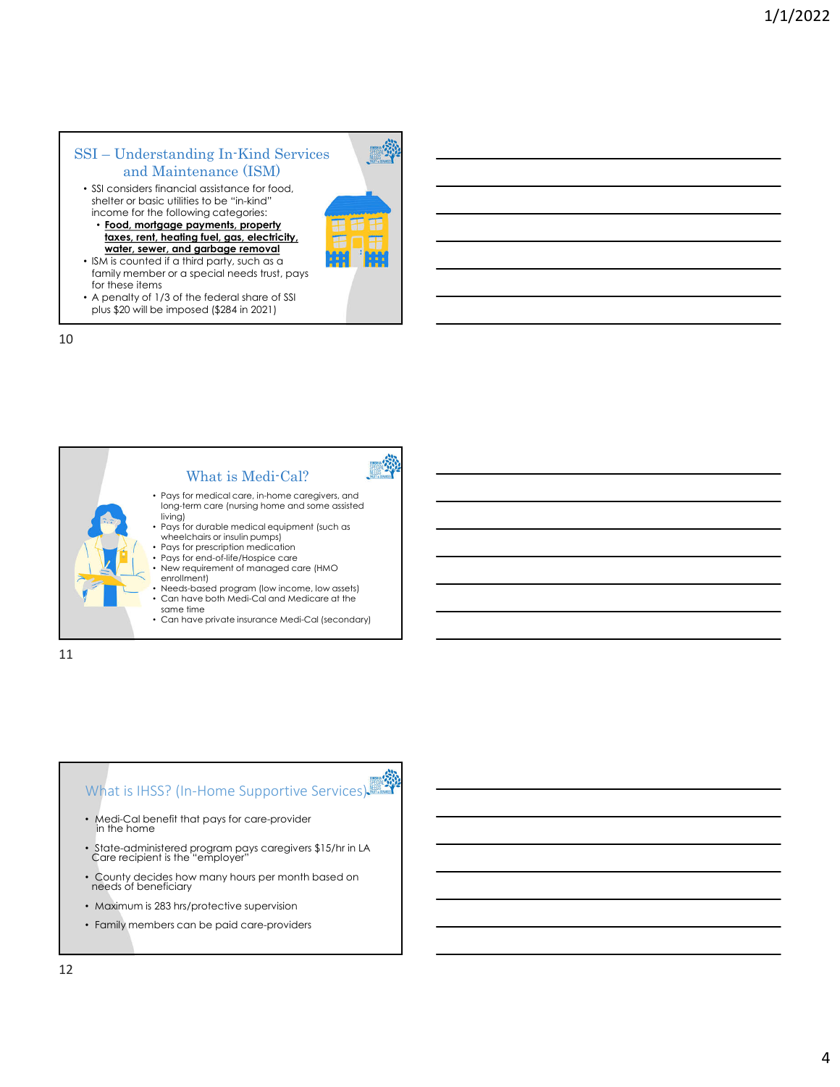### SSI – Understanding In-Kind Services and Maintenance (ISM)

- SSI considers financial assistance for food, shelter or basic utilities to be "in-kind" income for the following categories:
	- **Food, mortgage payments, property taxes, rent, heating fuel, gas, electricity, water, sewer, and garbage removal**
- ISM is counted if a third party, such as a family member or a special needs trust, pays for these items
- A penalty of 1/3 of the federal share of SSI plus \$20 will be imposed (\$284 in 2021)

10





- Medi-Cal benefit that pays for care-provider in the home
- State-administered program pays caregivers \$15/hr in LA Care recipient is the "employer"
- County decides how many hours per month based on needs of beneficiary
- Maximum is 283 hrs/protective supervision
- Family members can be paid care-providers

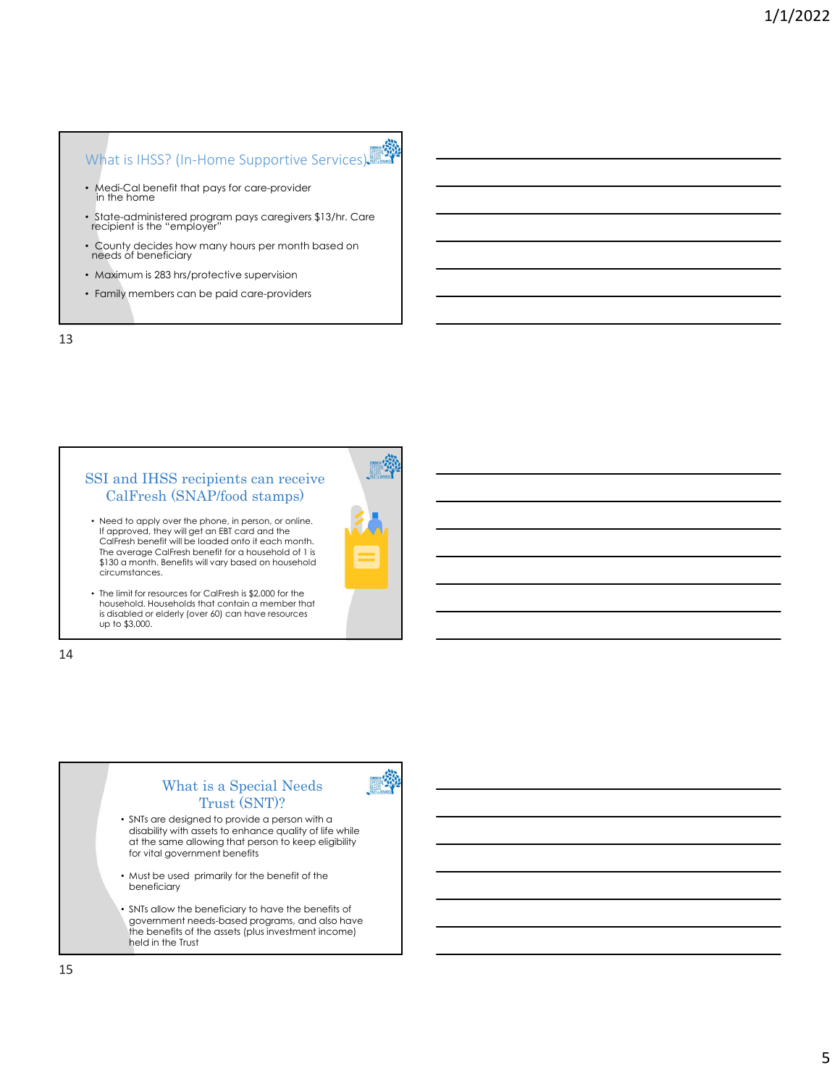# What is IHSS? (In-Home Supportive Services)

- Medi-Cal benefit that pays for care-provider in the home
- State-administered program pays caregivers \$13/hr. Care recipient is the "employer"
- County decides how many hours per month based on needs of beneficiary
- Maximum is 283 hrs/protective supervision
- Family members can be paid care-providers

13

### SSI and IHSS recipients can receive CalFresh (SNAP/food stamps)

• Need to apply over the phone, in person, or online. If approved, they will get an EBT card and the CalFresh benefit will be loaded onto it each month. The average CalFresh benefit for a household of 1 is \$130 a month. Benefits will vary based on household circumstances.



• The limit for resources for CalFresh is \$2,000 for the household. Households that contain a member that is disabled or elderly (over 60) can have resources up to \$3,000.

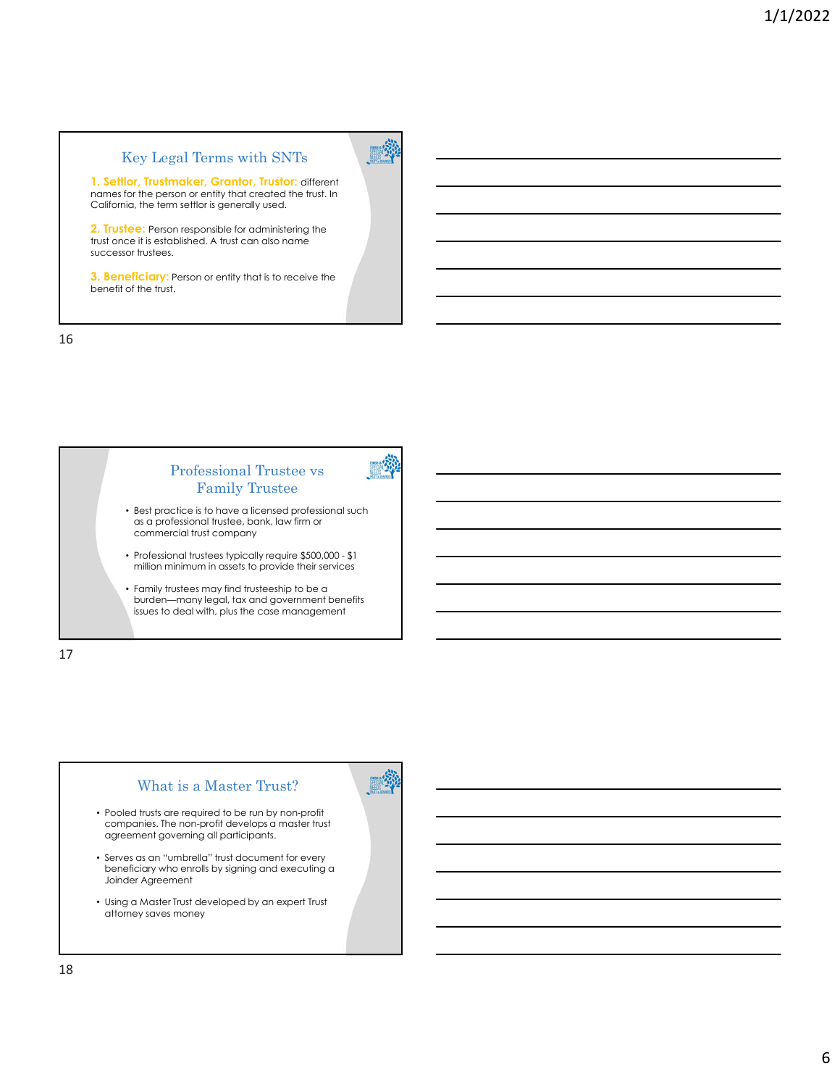# Key Legal Terms with SNTs

無格

**1. Settlor, Trustmaker, Grantor, Trustor:** different names for the person or entity that created the trust. In California, the term settlor is generally used.

**2. Trustee:** Person responsible for administering the trust once it is established. A trust can also name successor trustees.

**3. Beneficiary:** Person or entity that is to receive the benefit of the trust.



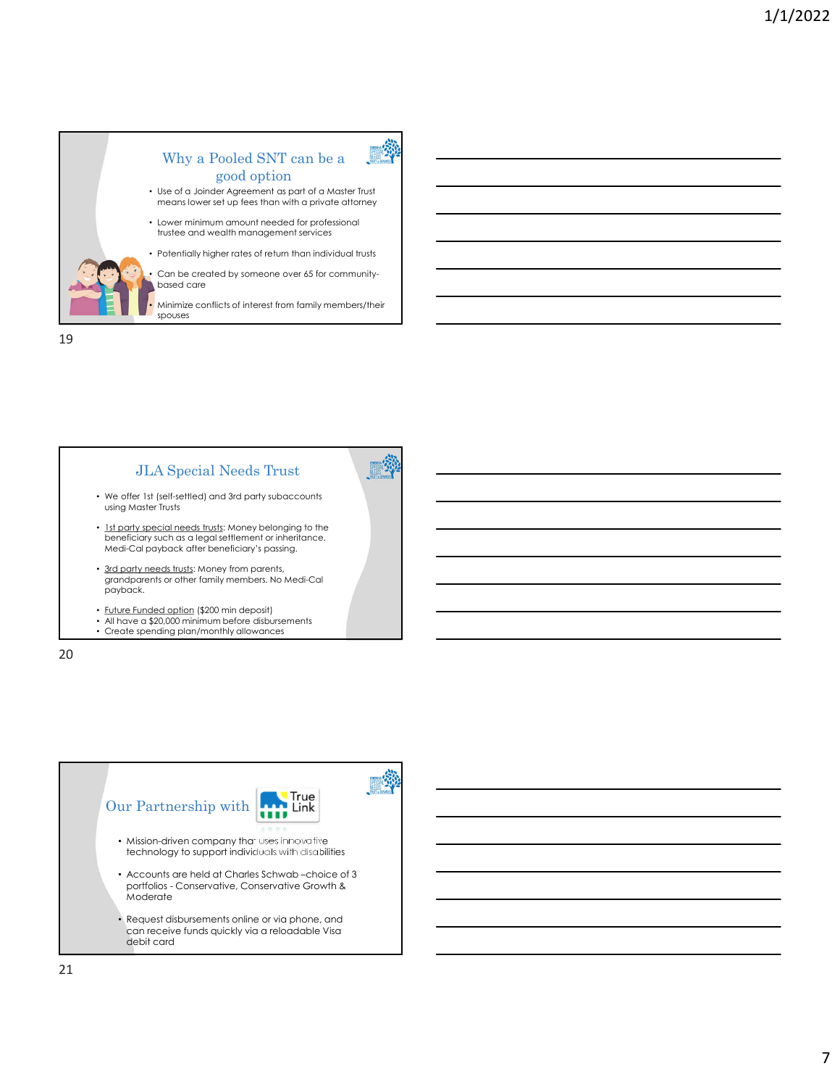

### Why a Pooled SNT can be a good option

• Use of a Joinder Agreement as part of a Master Trust means lower set up fees than with a private attorney

戀

• Lower minimum amount needed for professional trustee and wealth management services

• Potentially higher rates of return than individual trusts

Can be created by someone over 65 for communitybased care

• Minimize conflicts of interest from family members/their spouses

19



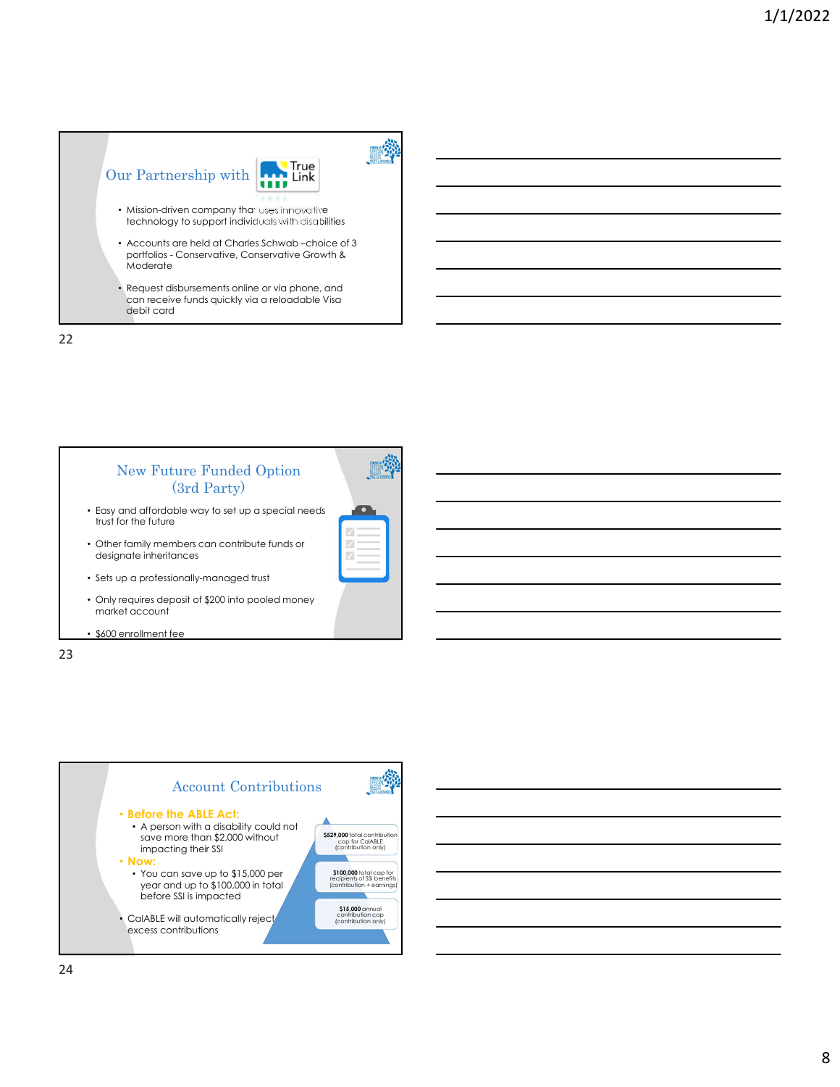



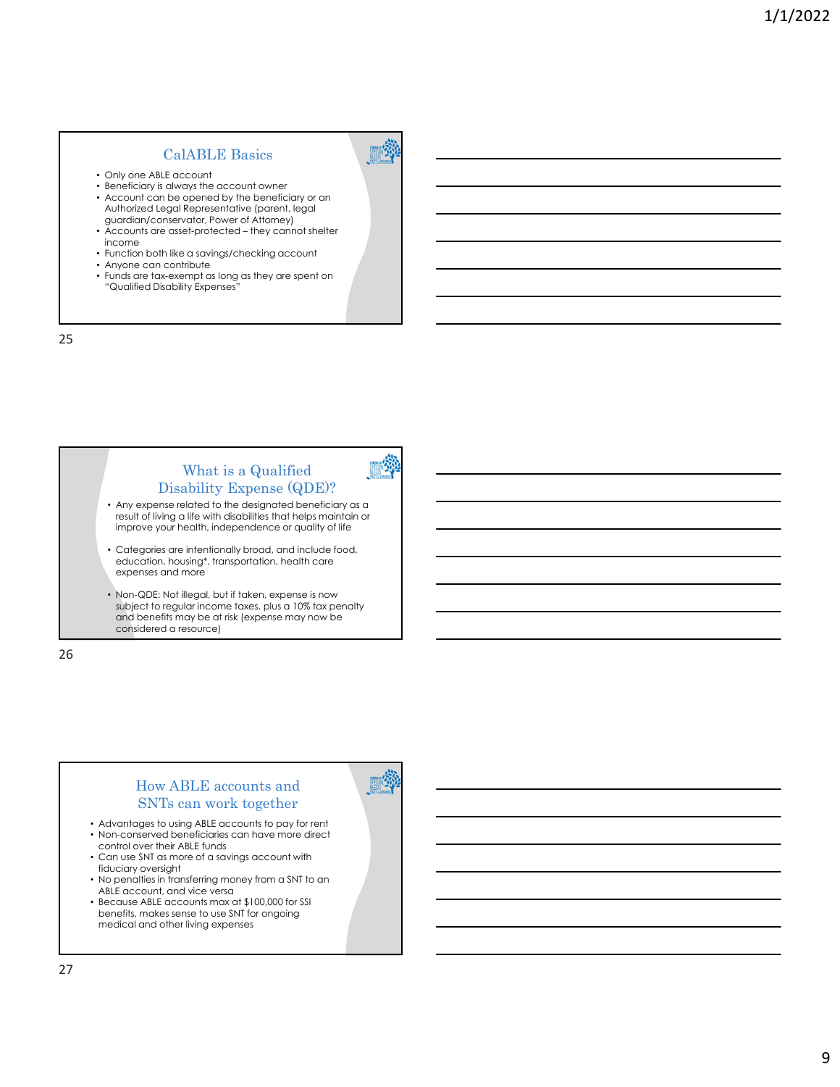# CalABLE Basics

- Only one ABLE account
- Beneficiary is always the account owner • Account can be opened by the beneficiary or an Authorized Legal Representative (parent, legal
- guardian/conservator, Power of Attorney) • Accounts are asset-protected – they cannot shelter income
- Function both like a savings/checking account
- Anyone can contribute<br>• Funds are tax-exempt as
- Funds are tax-exempt as long as they are spent on "Qualified Disability Expenses"

25

# What is a Qualified Disability Expense (QDE)? • Any expense related to the designated beneficiary as a

**BEAT** 

result of living a life with disabilities that helps maintain or improve your health, independence or quality of life

Categories are intentionally broad, and include food, education, housing\*, transportation, health care expenses and more

• Non-QDE: Not illegal, but if taken, expense is now subject to regular income taxes, plus a 10% tax penalty and benefits may be at risk (expense may now be considered a resource)

26

## How ABLE accounts and SNTs can work together

- Advantages to using ABLE accounts to pay for rent • Non-conserved beneficiaries can have more direct control over their ABLE funds
- Can use SNT as more of a savings account with fiduciary oversight
- No penalties in transferring money from a SNT to an ABLE account, and vice versa
- Because ABLE accounts max at \$100,000 for SSI benefits, makes sense to use SNT for ongoing medical and other living expenses